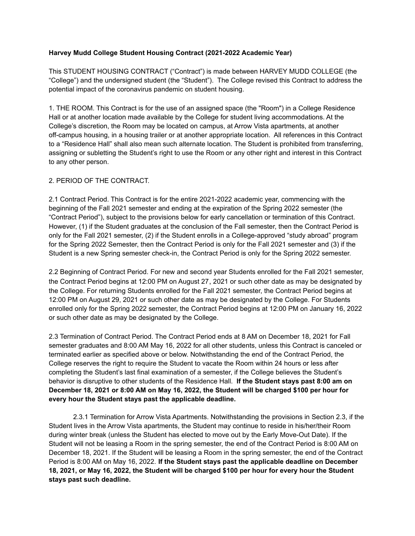## **Harvey Mudd College Student Housing Contract (2021-2022 Academic Year)**

This STUDENT HOUSING CONTRACT ("Contract") is made between HARVEY MUDD COLLEGE (the "College") and the undersigned student (the "Student"). The College revised this Contract to address the potential impact of the coronavirus pandemic on student housing.

1. THE ROOM. This Contract is for the use of an assigned space (the "Room") in a College Residence Hall or at another location made available by the College for student living accommodations. At the College's discretion, the Room may be located on campus, at Arrow Vista apartments, at another off-campus housing, in a housing trailer or at another appropriate location. All references in this Contract to a "Residence Hall" shall also mean such alternate location. The Student is prohibited from transferring, assigning or subletting the Student's right to use the Room or any other right and interest in this Contract to any other person.

## 2. PERIOD OF THE CONTRACT.

2.1 Contract Period. This Contract is for the entire 2021-2022 academic year, commencing with the beginning of the Fall 2021 semester and ending at the expiration of the Spring 2022 semester (the "Contract Period"), subject to the provisions below for early cancellation or termination of this Contract. However, (1) if the Student graduates at the conclusion of the Fall semester, then the Contract Period is only for the Fall 2021 semester, (2) if the Student enrolls in a College-approved "study abroad" program for the Spring 2022 Semester, then the Contract Period is only for the Fall 2021 semester and (3) if the Student is a new Spring semester check-in, the Contract Period is only for the Spring 2022 semester.

2.2 Beginning of Contract Period. For new and second year Students enrolled for the Fall 2021 semester, the Contract Period begins at 12:00 PM on August 27, 2021 or such other date as may be designated by the College. For returning Students enrolled for the Fall 2021 semester, the Contract Period begins at 12:00 PM on August 29, 2021 or such other date as may be designated by the College. For Students enrolled only for the Spring 2022 semester, the Contract Period begins at 12:00 PM on January 16, 2022 or such other date as may be designated by the College.

2.3 Termination of Contract Period. The Contract Period ends at 8 AM on December 18, 2021 for Fall semester graduates and 8:00 AM May 16, 2022 for all other students, unless this Contract is canceled or terminated earlier as specified above or below. Notwithstanding the end of the Contract Period, the College reserves the right to require the Student to vacate the Room within 24 hours or less after completing the Student's last final examination of a semester, if the College believes the Student's behavior is disruptive to other students of the Residence Hall. **If the Student stays past 8:00 am on December 18, 2021 or 8:00 AM on May 16, 2022, the Student will be charged \$100 per hour for every hour the Student stays past the applicable deadline.**

2.3.1 Termination for Arrow Vista Apartments. Notwithstanding the provisions in Section 2.3, if the Student lives in the Arrow Vista apartments, the Student may continue to reside in his/her/their Room during winter break (unless the Student has elected to move out by the Early Move-Out Date). If the Student will not be leasing a Room in the spring semester, the end of the Contract Period is 8:00 AM on December 18, 2021. If the Student will be leasing a Room in the spring semester, the end of the Contract Period is 8:00 AM on May 16, 2022. **If the Student stays past the applicable deadline on December** 18, 2021, or May 16, 2022, the Student will be charged \$100 per hour for every hour the Student **stays past such deadline.**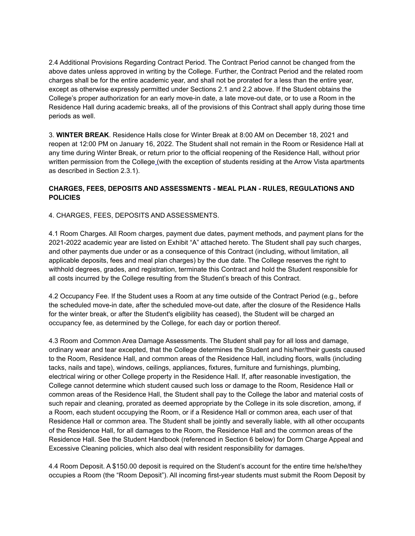2.4 Additional Provisions Regarding Contract Period. The Contract Period cannot be changed from the above dates unless approved in writing by the College. Further, the Contract Period and the related room charges shall be for the entire academic year, and shall not be prorated for a less than the entire year, except as otherwise expressly permitted under Sections 2.1 and 2.2 above. If the Student obtains the College's proper authorization for an early move-in date, a late move-out date, or to use a Room in the Residence Hall during academic breaks, all of the provisions of this Contract shall apply during those time periods as well.

3. **WINTER BREAK**. Residence Halls close for Winter Break at 8:00 AM on December 18, 2021 and reopen at 12:00 PM on January 16, 2022. The Student shall not remain in the Room or Residence Hall at any time during Winter Break, or return prior to the official reopening of the Residence Hall, without prior written permission from the College (with the exception of students residing at the Arrow Vista apartments as described in Section 2.3.1).

## **CHARGES, FEES, DEPOSITS AND ASSESSMENTS - MEAL PLAN - RULES, REGULATIONS AND POLICIES**

4. CHARGES, FEES, DEPOSITS AND ASSESSMENTS.

4.1 Room Charges. All Room charges, payment due dates, payment methods, and payment plans for the 2021-2022 academic year are listed on Exhibit "A" attached hereto. The Student shall pay such charges, and other payments due under or as a consequence of this Contract (including, without limitation, all applicable deposits, fees and meal plan charges) by the due date. The College reserves the right to withhold degrees, grades, and registration, terminate this Contract and hold the Student responsible for all costs incurred by the College resulting from the Student's breach of this Contract.

4.2 Occupancy Fee. If the Student uses a Room at any time outside of the Contract Period (e.g., before the scheduled move-in date, after the scheduled move-out date, after the closure of the Residence Halls for the winter break, or after the Student's eligibility has ceased), the Student will be charged an occupancy fee, as determined by the College, for each day or portion thereof.

4.3 Room and Common Area Damage Assessments. The Student shall pay for all loss and damage, ordinary wear and tear excepted, that the College determines the Student and his/her/their guests caused to the Room, Residence Hall, and common areas of the Residence Hall, including floors, walls (including tacks, nails and tape), windows, ceilings, appliances, fixtures, furniture and furnishings, plumbing, electrical wiring or other College property in the Residence Hall. If, after reasonable investigation, the College cannot determine which student caused such loss or damage to the Room, Residence Hall or common areas of the Residence Hall, the Student shall pay to the College the labor and material costs of such repair and cleaning, prorated as deemed appropriate by the College in its sole discretion, among, if a Room, each student occupying the Room, or if a Residence Hall or common area, each user of that Residence Hall or common area. The Student shall be jointly and severally liable, with all other occupants of the Residence Hall, for all damages to the Room, the Residence Hall and the common areas of the Residence Hall. See the Student Handbook (referenced in Section 6 below) for Dorm Charge Appeal and Excessive Cleaning policies, which also deal with resident responsibility for damages.

4.4 Room Deposit. A \$150.00 deposit is required on the Student's account for the entire time he/she/they occupies a Room (the "Room Deposit"). All incoming first-year students must submit the Room Deposit by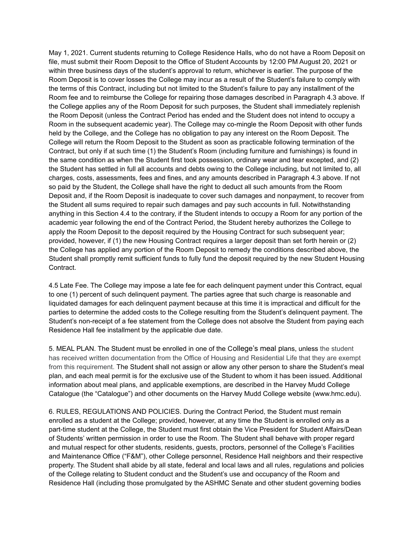May 1, 2021. Current students returning to College Residence Halls, who do not have a Room Deposit on file, must submit their Room Deposit to the Office of Student Accounts by 12:00 PM August 20, 2021 or within three business days of the student's approval to return, whichever is earlier. The purpose of the Room Deposit is to cover losses the College may incur as a result of the Student's failure to comply with the terms of this Contract, including but not limited to the Student's failure to pay any installment of the Room fee and to reimburse the College for repairing those damages described in Paragraph 4.3 above. If the College applies any of the Room Deposit for such purposes, the Student shall immediately replenish the Room Deposit (unless the Contract Period has ended and the Student does not intend to occupy a Room in the subsequent academic year). The College may co-mingle the Room Deposit with other funds held by the College, and the College has no obligation to pay any interest on the Room Deposit. The College will return the Room Deposit to the Student as soon as practicable following termination of the Contract, but only if at such time (1) the Student's Room (including furniture and furnishings) is found in the same condition as when the Student first took possession, ordinary wear and tear excepted, and (2) the Student has settled in full all accounts and debts owing to the College including, but not limited to, all charges, costs, assessments, fees and fines, and any amounts described in Paragraph 4.3 above. If not so paid by the Student, the College shall have the right to deduct all such amounts from the Room Deposit and, if the Room Deposit is inadequate to cover such damages and nonpayment, to recover from the Student all sums required to repair such damages and pay such accounts in full. Notwithstanding anything in this Section 4.4 to the contrary, if the Student intends to occupy a Room for any portion of the academic year following the end of the Contract Period, the Student hereby authorizes the College to apply the Room Deposit to the deposit required by the Housing Contract for such subsequent year; provided, however, if (1) the new Housing Contract requires a larger deposit than set forth herein or (2) the College has applied any portion of the Room Deposit to remedy the conditions described above, the Student shall promptly remit sufficient funds to fully fund the deposit required by the new Student Housing Contract.

4.5 Late Fee. The College may impose a late fee for each delinquent payment under this Contract, equal to one (1) percent of such delinquent payment. The parties agree that such charge is reasonable and liquidated damages for each delinquent payment because at this time it is impractical and difficult for the parties to determine the added costs to the College resulting from the Student's delinquent payment. The Student's non-receipt of a fee statement from the College does not absolve the Student from paying each Residence Hall fee installment by the applicable due date.

5. MEAL PLAN. The Student must be enrolled in one of the College's meal plans, unless the student has received written documentation from the Office of Housing and Residential Life that they are exempt from this requirement. The Student shall not assign or allow any other person to share the Student's meal plan, and each meal permit is for the exclusive use of the Student to whom it has been issued. Additional information about meal plans, and applicable exemptions, are described in the Harvey Mudd College Catalogue (the "Catalogue") and other documents on the Harvey Mudd College website (www.hmc.edu).

6. RULES, REGULATIONS AND POLICIES. During the Contract Period, the Student must remain enrolled as a student at the College; provided, however, at any time the Student is enrolled only as a part-time student at the College, the Student must first obtain the Vice President for Student Affairs/Dean of Students' written permission in order to use the Room. The Student shall behave with proper regard and mutual respect for other students, residents, guests, proctors, personnel of the College's Facilities and Maintenance Office ("F&M"), other College personnel, Residence Hall neighbors and their respective property. The Student shall abide by all state, federal and local laws and all rules, regulations and policies of the College relating to Student conduct and the Student's use and occupancy of the Room and Residence Hall (including those promulgated by the ASHMC Senate and other student governing bodies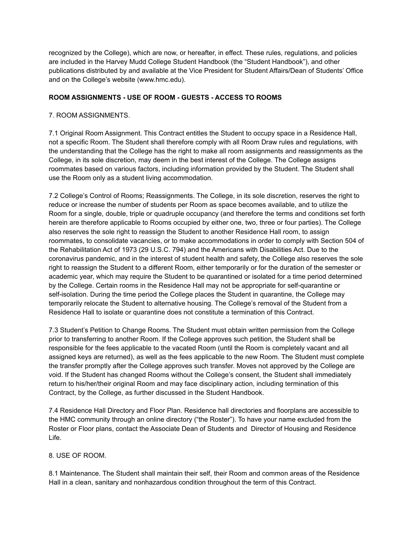recognized by the College), which are now, or hereafter, in effect. These rules, regulations, and policies are included in the Harvey Mudd College Student Handbook (the "Student Handbook"), and other publications distributed by and available at the Vice President for Student Affairs/Dean of Students' Office and on the College's website (www.hmc.edu).

## **ROOM ASSIGNMENTS - USE OF ROOM - GUESTS - ACCESS TO ROOMS**

#### 7. ROOM ASSIGNMENTS.

7.1 Original Room Assignment. This Contract entitles the Student to occupy space in a Residence Hall, not a specific Room. The Student shall therefore comply with all Room Draw rules and regulations, with the understanding that the College has the right to make all room assignments and reassignments as the College, in its sole discretion, may deem in the best interest of the College. The College assigns roommates based on various factors, including information provided by the Student. The Student shall use the Room only as a student living accommodation.

7.2 College's Control of Rooms; Reassignments. The College, in its sole discretion, reserves the right to reduce or increase the number of students per Room as space becomes available, and to utilize the Room for a single, double, triple or quadruple occupancy (and therefore the terms and conditions set forth herein are therefore applicable to Rooms occupied by either one, two, three or four parties). The College also reserves the sole right to reassign the Student to another Residence Hall room, to assign roommates, to consolidate vacancies, or to make accommodations in order to comply with Section 504 of the Rehabilitation Act of 1973 (29 U.S.C. 794) and the Americans with Disabilities Act. Due to the coronavirus pandemic, and in the interest of student health and safety, the College also reserves the sole right to reassign the Student to a different Room, either temporarily or for the duration of the semester or academic year, which may require the Student to be quarantined or isolated for a time period determined by the College. Certain rooms in the Residence Hall may not be appropriate for self-quarantine or self-isolation. During the time period the College places the Student in quarantine, the College may temporarily relocate the Student to alternative housing. The College's removal of the Student from a Residence Hall to isolate or quarantine does not constitute a termination of this Contract.

7.3 Student's Petition to Change Rooms. The Student must obtain written permission from the College prior to transferring to another Room. If the College approves such petition, the Student shall be responsible for the fees applicable to the vacated Room (until the Room is completely vacant and all assigned keys are returned), as well as the fees applicable to the new Room. The Student must complete the transfer promptly after the College approves such transfer. Moves not approved by the College are void. If the Student has changed Rooms without the College's consent, the Student shall immediately return to his/her/their original Room and may face disciplinary action, including termination of this Contract, by the College, as further discussed in the Student Handbook.

7.4 Residence Hall Directory and Floor Plan. Residence hall directories and floorplans are accessible to the HMC community through an online directory ("the Roster"). To have your name excluded from the Roster or Floor plans, contact the Associate Dean of Students and Director of Housing and Residence Life.

#### 8. USE OF ROOM.

8.1 Maintenance. The Student shall maintain their self, their Room and common areas of the Residence Hall in a clean, sanitary and nonhazardous condition throughout the term of this Contract.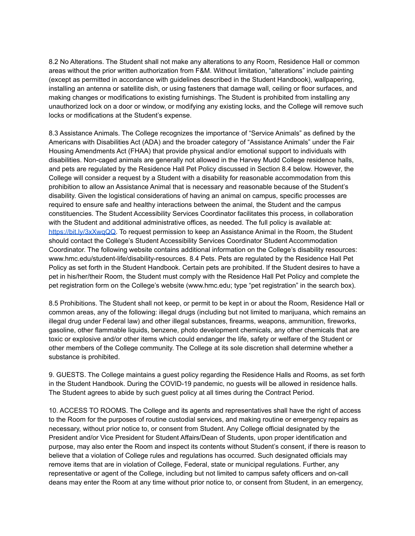8.2 No Alterations. The Student shall not make any alterations to any Room, Residence Hall or common areas without the prior written authorization from F&M. Without limitation, "alterations" include painting (except as permitted in accordance with guidelines described in the Student Handbook), wallpapering, installing an antenna or satellite dish, or using fasteners that damage wall, ceiling or floor surfaces, and making changes or modifications to existing furnishings. The Student is prohibited from installing any unauthorized lock on a door or window, or modifying any existing locks, and the College will remove such locks or modifications at the Student's expense.

8.3 Assistance Animals. The College recognizes the importance of "Service Animals" as defined by the Americans with Disabilities Act (ADA) and the broader category of "Assistance Animals" under the Fair Housing Amendments Act (FHAA) that provide physical and/or emotional support to individuals with disabilities. Non-caged animals are generally not allowed in the Harvey Mudd College residence halls, and pets are regulated by the Residence Hall Pet Policy discussed in Section 8.4 below. However, the College will consider a request by a Student with a disability for reasonable accommodation from this prohibition to allow an Assistance Animal that is necessary and reasonable because of the Student's disability. Given the logistical considerations of having an animal on campus, specific processes are required to ensure safe and healthy interactions between the animal, the Student and the campus constituencies. The Student Accessibility Services Coordinator facilitates this process, in collaboration with the Student and additional administrative offices, as needed. The full policy is available at: [https://bit.ly/3xXwqQQ.](https://bit.ly/3xXwqQQ) To request permission to keep an Assistance Animal in the Room, the Student should contact the College's Student Accessibility Services Coordinator Student Accommodation Coordinator. The following website contains additional information on the College's disability resources: www.hmc.edu/student-life/disability-resources. 8.4 Pets. Pets are regulated by the Residence Hall Pet Policy as set forth in the Student Handbook. Certain pets are prohibited. If the Student desires to have a pet in his/her/their Room, the Student must comply with the Residence Hall Pet Policy and complete the pet registration form on the College's website (www.hmc.edu; type "pet registration" in the search box).

8.5 Prohibitions. The Student shall not keep, or permit to be kept in or about the Room, Residence Hall or common areas, any of the following: illegal drugs (including but not limited to marijuana, which remains an illegal drug under Federal law) and other illegal substances, firearms, weapons, ammunition, fireworks, gasoline, other flammable liquids, benzene, photo development chemicals, any other chemicals that are toxic or explosive and/or other items which could endanger the life, safety or welfare of the Student or other members of the College community. The College at its sole discretion shall determine whether a substance is prohibited.

9. GUESTS. The College maintains a guest policy regarding the Residence Halls and Rooms, as set forth in the Student Handbook. During the COVID-19 pandemic, no guests will be allowed in residence halls. The Student agrees to abide by such guest policy at all times during the Contract Period.

10. ACCESS TO ROOMS. The College and its agents and representatives shall have the right of access to the Room for the purposes of routine custodial services, and making routine or emergency repairs as necessary, without prior notice to, or consent from Student. Any College official designated by the President and/or Vice President for Student Affairs/Dean of Students, upon proper identification and purpose, may also enter the Room and inspect its contents without Student's consent, if there is reason to believe that a violation of College rules and regulations has occurred. Such designated officials may remove items that are in violation of College, Federal, state or municipal regulations. Further, any representative or agent of the College, including but not limited to campus safety officers and on-call deans may enter the Room at any time without prior notice to, or consent from Student, in an emergency,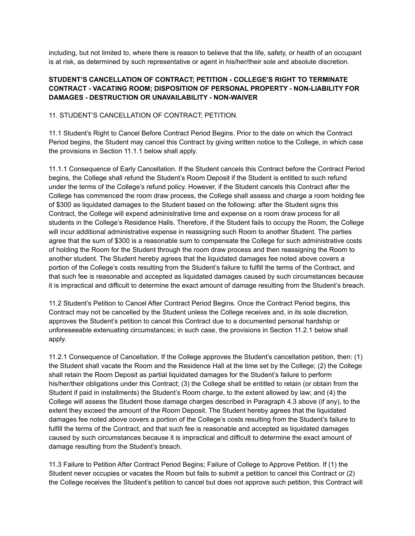including, but not limited to, where there is reason to believe that the life, safety, or health of an occupant is at risk, as determined by such representative or agent in his/her/their sole and absolute discretion.

# **STUDENT'S CANCELLATION OF CONTRACT; PETITION - COLLEGE'S RIGHT TO TERMINATE CONTRACT - VACATING ROOM; DISPOSITION OF PERSONAL PROPERTY - NON-LIABILITY FOR DAMAGES - DESTRUCTION OR UNAVAILABILITY - NON-WAIVER**

## 11. STUDENT'S CANCELLATION OF CONTRACT; PETITION.

11.1 Student's Right to Cancel Before Contract Period Begins. Prior to the date on which the Contract Period begins, the Student may cancel this Contract by giving written notice to the College, in which case the provisions in Section 11.1.1 below shall apply.

11.1.1 Consequence of Early Cancellation. If the Student cancels this Contract before the Contract Period begins, the College shall refund the Student's Room Deposit if the Student is entitled to such refund under the terms of the College's refund policy. However, if the Student cancels this Contract after the College has commenced the room draw process, the College shall assess and charge a room holding fee of \$300 as liquidated damages to the Student based on the following: after the Student signs this Contract, the College will expend administrative time and expense on a room draw process for all students in the College's Residence Halls. Therefore, if the Student fails to occupy the Room, the College will incur additional administrative expense in reassigning such Room to another Student. The parties agree that the sum of \$300 is a reasonable sum to compensate the College for such administrative costs of holding the Room for the Student through the room draw process and then reassigning the Room to another student. The Student hereby agrees that the liquidated damages fee noted above covers a portion of the College's costs resulting from the Student's failure to fulfill the terms of the Contract, and that such fee is reasonable and accepted as liquidated damages caused by such circumstances because it is impractical and difficult to determine the exact amount of damage resulting from the Student's breach.

11.2 Student's Petition to Cancel After Contract Period Begins. Once the Contract Period begins, this Contract may not be cancelled by the Student unless the College receives and, in its sole discretion, approves the Student's petition to cancel this Contract due to a documented personal hardship or unforeseeable extenuating circumstances; in such case, the provisions in Section 11.2.1 below shall apply.

11.2.1 Consequence of Cancellation. If the College approves the Student's cancellation petition, then: (1) the Student shall vacate the Room and the Residence Hall at the time set by the College; (2) the College shall retain the Room Deposit as partial liquidated damages for the Student's failure to perform his/her/their obligations under this Contract; (3) the College shall be entitled to retain (or obtain from the Student if paid in installments) the Student's Room charge, to the extent allowed by law; and (4) the College will assess the Student those damage charges described in Paragraph 4.3 above (if any), to the extent they exceed the amount of the Room Deposit. The Student hereby agrees that the liquidated damages fee noted above covers a portion of the College's costs resulting from the Student's failure to fulfill the terms of the Contract, and that such fee is reasonable and accepted as liquidated damages caused by such circumstances because it is impractical and difficult to determine the exact amount of damage resulting from the Student's breach.

11.3 Failure to Petition After Contract Period Begins; Failure of College to Approve Petition. If (1) the Student never occupies or vacates the Room but fails to submit a petition to cancel this Contract or (2) the College receives the Student's petition to cancel but does not approve such petition, this Contract will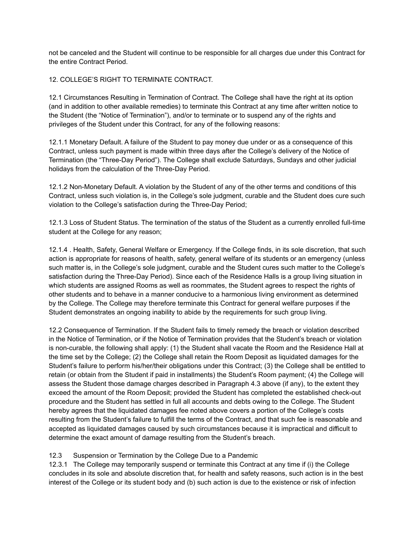not be canceled and the Student will continue to be responsible for all charges due under this Contract for the entire Contract Period.

## 12. COLLEGE'S RIGHT TO TERMINATE CONTRACT.

12.1 Circumstances Resulting in Termination of Contract. The College shall have the right at its option (and in addition to other available remedies) to terminate this Contract at any time after written notice to the Student (the "Notice of Termination"), and/or to terminate or to suspend any of the rights and privileges of the Student under this Contract, for any of the following reasons:

12.1.1 Monetary Default. A failure of the Student to pay money due under or as a consequence of this Contract, unless such payment is made within three days after the College's delivery of the Notice of Termination (the "Three-Day Period"). The College shall exclude Saturdays, Sundays and other judicial holidays from the calculation of the Three-Day Period.

12.1.2 Non-Monetary Default. A violation by the Student of any of the other terms and conditions of this Contract, unless such violation is, in the College's sole judgment, curable and the Student does cure such violation to the College's satisfaction during the Three-Day Period;

12.1.3 Loss of Student Status. The termination of the status of the Student as a currently enrolled full-time student at the College for any reason;

12.1.4 . Health, Safety, General Welfare or Emergency. If the College finds, in its sole discretion, that such action is appropriate for reasons of health, safety, general welfare of its students or an emergency (unless such matter is, in the College's sole judgment, curable and the Student cures such matter to the College's satisfaction during the Three-Day Period). Since each of the Residence Halls is a group living situation in which students are assigned Rooms as well as roommates, the Student agrees to respect the rights of other students and to behave in a manner conducive to a harmonious living environment as determined by the College. The College may therefore terminate this Contract for general welfare purposes if the Student demonstrates an ongoing inability to abide by the requirements for such group living.

12.2 Consequence of Termination. If the Student fails to timely remedy the breach or violation described in the Notice of Termination, or if the Notice of Termination provides that the Student's breach or violation is non-curable, the following shall apply: (1) the Student shall vacate the Room and the Residence Hall at the time set by the College; (2) the College shall retain the Room Deposit as liquidated damages for the Student's failure to perform his/her/their obligations under this Contract; (3) the College shall be entitled to retain (or obtain from the Student if paid in installments) the Student's Room payment; (4) the College will assess the Student those damage charges described in Paragraph 4.3 above (if any), to the extent they exceed the amount of the Room Deposit; provided the Student has completed the established check-out procedure and the Student has settled in full all accounts and debts owing to the College. The Student hereby agrees that the liquidated damages fee noted above covers a portion of the College's costs resulting from the Student's failure to fulfill the terms of the Contract, and that such fee is reasonable and accepted as liquidated damages caused by such circumstances because it is impractical and difficult to determine the exact amount of damage resulting from the Student's breach.

## 12.3 Suspension or Termination by the College Due to a Pandemic

12.3.1 The College may temporarily suspend or terminate this Contract at any time if (i) the College concludes in its sole and absolute discretion that, for health and safety reasons, such action is in the best interest of the College or its student body and (b) such action is due to the existence or risk of infection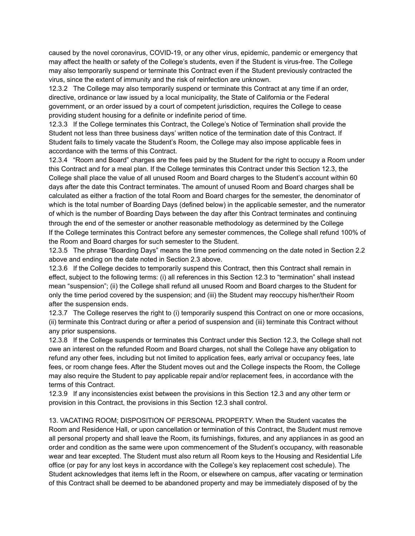caused by the novel coronavirus, COVID-19, or any other virus, epidemic, pandemic or emergency that may affect the health or safety of the College's students, even if the Student is virus-free. The College may also temporarily suspend or terminate this Contract even if the Student previously contracted the virus, since the extent of immunity and the risk of reinfection are unknown.

12.3.2 The College may also temporarily suspend or terminate this Contract at any time if an order, directive, ordinance or law issued by a local municipality, the State of California or the Federal government, or an order issued by a court of competent jurisdiction, requires the College to cease providing student housing for a definite or indefinite period of time.

12.3.3 If the College terminates this Contract, the College's Notice of Termination shall provide the Student not less than three business days' written notice of the termination date of this Contract. If Student fails to timely vacate the Student's Room, the College may also impose applicable fees in accordance with the terms of this Contract.

12.3.4 "Room and Board" charges are the fees paid by the Student for the right to occupy a Room under this Contract and for a meal plan. If the College terminates this Contract under this Section 12.3, the College shall place the value of all unused Room and Board charges to the Student's account within 60 days after the date this Contract terminates. The amount of unused Room and Board charges shall be calculated as either a fraction of the total Room and Board charges for the semester, the denominator of which is the total number of Boarding Days (defined below) in the applicable semester, and the numerator of which is the number of Boarding Days between the day after this Contract terminates and continuing through the end of the semester or another reasonable methodology as determined by the College If the College terminates this Contract before any semester commences, the College shall refund 100% of the Room and Board charges for such semester to the Student.

12.3.5 The phrase "Boarding Days" means the time period commencing on the date noted in Section 2.2 above and ending on the date noted in Section 2.3 above.

12.3.6 If the College decides to temporarily suspend this Contract, then this Contract shall remain in effect, subject to the following terms: (i) all references in this Section 12.3 to "termination" shall instead mean "suspension"; (ii) the College shall refund all unused Room and Board charges to the Student for only the time period covered by the suspension; and (iii) the Student may reoccupy his/her/their Room after the suspension ends.

12.3.7 The College reserves the right to (i) temporarily suspend this Contract on one or more occasions, (ii) terminate this Contract during or after a period of suspension and (iii) terminate this Contract without any prior suspensions.

12.3.8 If the College suspends or terminates this Contract under this Section 12.3, the College shall not owe an interest on the refunded Room and Board charges, not shall the College have any obligation to refund any other fees, including but not limited to application fees, early arrival or occupancy fees, late fees, or room change fees. After the Student moves out and the College inspects the Room, the College may also require the Student to pay applicable repair and/or replacement fees, in accordance with the terms of this Contract.

12.3.9 If any inconsistencies exist between the provisions in this Section 12.3 and any other term or provision in this Contract, the provisions in this Section 12.3 shall control.

13. VACATING ROOM; DISPOSITION OF PERSONAL PROPERTY. When the Student vacates the Room and Residence Hall, or upon cancellation or termination of this Contract, the Student must remove all personal property and shall leave the Room, its furnishings, fixtures, and any appliances in as good an order and condition as the same were upon commencement of the Student's occupancy, with reasonable wear and tear excepted. The Student must also return all Room keys to the Housing and Residential Life office (or pay for any lost keys in accordance with the College's key replacement cost schedule). The Student acknowledges that items left in the Room, or elsewhere on campus, after vacating or termination of this Contract shall be deemed to be abandoned property and may be immediately disposed of by the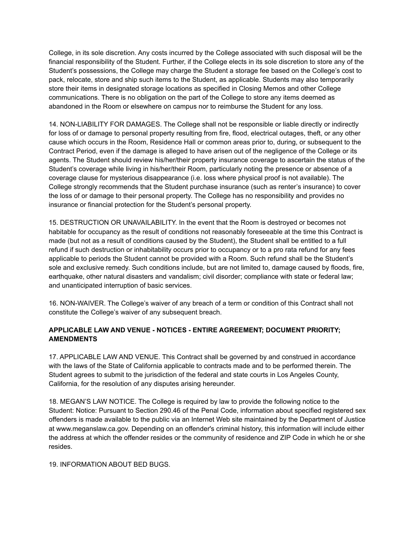College, in its sole discretion. Any costs incurred by the College associated with such disposal will be the financial responsibility of the Student. Further, if the College elects in its sole discretion to store any of the Student's possessions, the College may charge the Student a storage fee based on the College's cost to pack, relocate, store and ship such items to the Student, as applicable. Students may also temporarily store their items in designated storage locations as specified in Closing Memos and other College communications. There is no obligation on the part of the College to store any items deemed as abandoned in the Room or elsewhere on campus nor to reimburse the Student for any loss.

14. NON-LIABILITY FOR DAMAGES. The College shall not be responsible or liable directly or indirectly for loss of or damage to personal property resulting from fire, flood, electrical outages, theft, or any other cause which occurs in the Room, Residence Hall or common areas prior to, during, or subsequent to the Contract Period, even if the damage is alleged to have arisen out of the negligence of the College or its agents. The Student should review his/her/their property insurance coverage to ascertain the status of the Student's coverage while living in his/her/their Room, particularly noting the presence or absence of a coverage clause for mysterious disappearance (i.e. loss where physical proof is not available). The College strongly recommends that the Student purchase insurance (such as renter's insurance) to cover the loss of or damage to their personal property. The College has no responsibility and provides no insurance or financial protection for the Student's personal property.

15. DESTRUCTION OR UNAVAILABILITY. In the event that the Room is destroyed or becomes not habitable for occupancy as the result of conditions not reasonably foreseeable at the time this Contract is made (but not as a result of conditions caused by the Student), the Student shall be entitled to a full refund if such destruction or inhabitability occurs prior to occupancy or to a pro rata refund for any fees applicable to periods the Student cannot be provided with a Room. Such refund shall be the Student's sole and exclusive remedy. Such conditions include, but are not limited to, damage caused by floods, fire, earthquake, other natural disasters and vandalism; civil disorder; compliance with state or federal law; and unanticipated interruption of basic services.

16. NON-WAIVER. The College's waiver of any breach of a term or condition of this Contract shall not constitute the College's waiver of any subsequent breach.

# **APPLICABLE LAW AND VENUE - NOTICES - ENTIRE AGREEMENT; DOCUMENT PRIORITY; AMENDMENTS**

17. APPLICABLE LAW AND VENUE. This Contract shall be governed by and construed in accordance with the laws of the State of California applicable to contracts made and to be performed therein. The Student agrees to submit to the jurisdiction of the federal and state courts in Los Angeles County, California, for the resolution of any disputes arising hereunder.

18. MEGAN'S LAW NOTICE. The College is required by law to provide the following notice to the Student: Notice: Pursuant to Section 290.46 of the Penal Code, information about specified registered sex offenders is made available to the public via an Internet Web site maintained by the Department of Justice at www.meganslaw.ca.gov. Depending on an offender's criminal history, this information will include either the address at which the offender resides or the community of residence and ZIP Code in which he or she resides.

#### 19. INFORMATION ABOUT BED BUGS.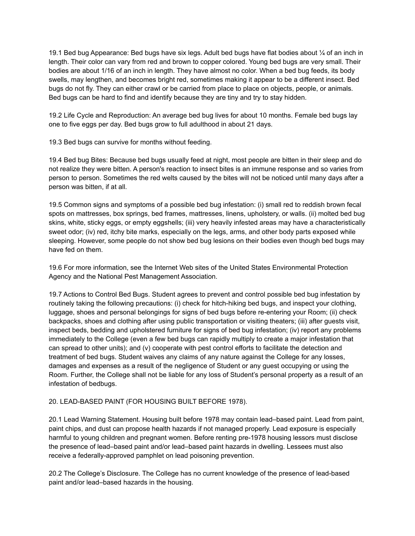19.1 Bed bug Appearance: Bed bugs have six legs. Adult bed bugs have flat bodies about  $\frac{1}{4}$  of an inch in length. Their color can vary from red and brown to copper colored. Young bed bugs are very small. Their bodies are about 1/16 of an inch in length. They have almost no color. When a bed bug feeds, its body swells, may lengthen, and becomes bright red, sometimes making it appear to be a different insect. Bed bugs do not fly. They can either crawl or be carried from place to place on objects, people, or animals. Bed bugs can be hard to find and identify because they are tiny and try to stay hidden.

19.2 Life Cycle and Reproduction: An average bed bug lives for about 10 months. Female bed bugs lay one to five eggs per day. Bed bugs grow to full adulthood in about 21 days.

19.3 Bed bugs can survive for months without feeding.

19.4 Bed bug Bites: Because bed bugs usually feed at night, most people are bitten in their sleep and do not realize they were bitten. A person's reaction to insect bites is an immune response and so varies from person to person. Sometimes the red welts caused by the bites will not be noticed until many days after a person was bitten, if at all.

19.5 Common signs and symptoms of a possible bed bug infestation: (i) small red to reddish brown fecal spots on mattresses, box springs, bed frames, mattresses, linens, upholstery, or walls. (ii) molted bed bug skins, white, sticky eggs, or empty eggshells; (iii) very heavily infested areas may have a characteristically sweet odor; (iv) red, itchy bite marks, especially on the legs, arms, and other body parts exposed while sleeping. However, some people do not show bed bug lesions on their bodies even though bed bugs may have fed on them.

19.6 For more information, see the Internet Web sites of the United States Environmental Protection Agency and the National Pest Management Association.

19.7 Actions to Control Bed Bugs. Student agrees to prevent and control possible bed bug infestation by routinely taking the following precautions: (i) check for hitch-hiking bed bugs, and inspect your clothing, luggage, shoes and personal belongings for signs of bed bugs before re-entering your Room; (ii) check backpacks, shoes and clothing after using public transportation or visiting theaters; (iii) after guests visit, inspect beds, bedding and upholstered furniture for signs of bed bug infestation; (iv) report any problems immediately to the College (even a few bed bugs can rapidly multiply to create a major infestation that can spread to other units); and (v) cooperate with pest control efforts to facilitate the detection and treatment of bed bugs. Student waives any claims of any nature against the College for any losses, damages and expenses as a result of the negligence of Student or any guest occupying or using the Room. Further, the College shall not be liable for any loss of Student's personal property as a result of an infestation of bedbugs.

# 20. LEAD-BASED PAINT (FOR HOUSING BUILT BEFORE 1978).

20.1 Lead Warning Statement. Housing built before 1978 may contain lead–based paint. Lead from paint, paint chips, and dust can propose health hazards if not managed properly. Lead exposure is especially harmful to young children and pregnant women. Before renting pre-1978 housing lessors must disclose the presence of lead–based paint and/or lead–based paint hazards in dwelling. Lessees must also receive a federally-approved pamphlet on lead poisoning prevention.

20.2 The College's Disclosure. The College has no current knowledge of the presence of lead-based paint and/or lead–based hazards in the housing.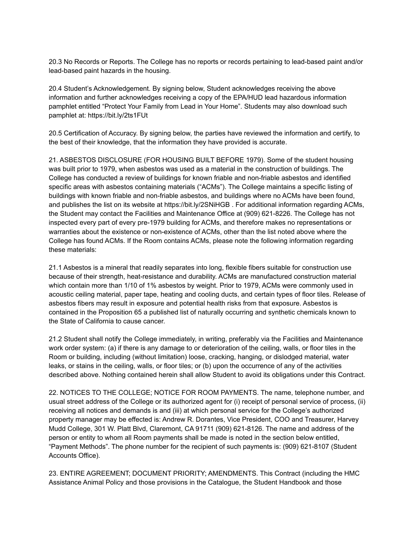20.3 No Records or Reports. The College has no reports or records pertaining to lead-based paint and/or lead-based paint hazards in the housing.

20.4 Student's Acknowledgement. By signing below, Student acknowledges receiving the above information and further acknowledges receiving a copy of the EPA/HUD lead hazardous information pamphlet entitled "Protect Your Family from Lead in Your Home". Students may also download such pamphlet at: https://bit.ly/2ts1FUt

20.5 Certification of Accuracy. By signing below, the parties have reviewed the information and certify, to the best of their knowledge, that the information they have provided is accurate.

21. ASBESTOS DISCLOSURE (FOR HOUSING BUILT BEFORE 1979). Some of the student housing was built prior to 1979, when asbestos was used as a material in the construction of buildings. The College has conducted a review of buildings for known friable and non-friable asbestos and identified specific areas with asbestos containing materials ("ACMs"). The College maintains a specific listing of buildings with known friable and non-friable asbestos, and buildings where no ACMs have been found, and publishes the list on its website at https://bit.ly/2SNiHGB . For additional information regarding ACMs, the Student may contact the Facilities and Maintenance Office at (909) 621-8226. The College has not inspected every part of every pre-1979 building for ACMs, and therefore makes no representations or warranties about the existence or non-existence of ACMs, other than the list noted above where the College has found ACMs. If the Room contains ACMs, please note the following information regarding these materials:

21.1 Asbestos is a mineral that readily separates into long, flexible fibers suitable for construction use because of their strength, heat-resistance and durability. ACMs are manufactured construction material which contain more than 1/10 of 1% asbestos by weight. Prior to 1979, ACMs were commonly used in acoustic ceiling material, paper tape, heating and cooling ducts, and certain types of floor tiles. Release of asbestos fibers may result in exposure and potential health risks from that exposure. Asbestos is contained in the Proposition 65 a published list of naturally occurring and synthetic chemicals known to the State of California to cause cancer.

21.2 Student shall notify the College immediately, in writing, preferably via the Facilities and Maintenance work order system: (a) if there is any damage to or deterioration of the ceiling, walls, or floor tiles in the Room or building, including (without limitation) loose, cracking, hanging, or dislodged material, water leaks, or stains in the ceiling, walls, or floor tiles; or (b) upon the occurrence of any of the activities described above. Nothing contained herein shall allow Student to avoid its obligations under this Contract.

22. NOTICES TO THE COLLEGE; NOTICE FOR ROOM PAYMENTS. The name, telephone number, and usual street address of the College or its authorized agent for (i) receipt of personal service of process, (ii) receiving all notices and demands is and (iii) at which personal service for the College's authorized property manager may be effected is: Andrew R. Dorantes, Vice President, COO and Treasurer, Harvey Mudd College, 301 W. Platt Blvd, Claremont, CA 91711 (909) 621-8126. The name and address of the person or entity to whom all Room payments shall be made is noted in the section below entitled, "Payment Methods". The phone number for the recipient of such payments is: (909) 621-8107 (Student Accounts Office).

23. ENTIRE AGREEMENT; DOCUMENT PRIORITY; AMENDMENTS. This Contract (including the HMC Assistance Animal Policy and those provisions in the Catalogue, the Student Handbook and those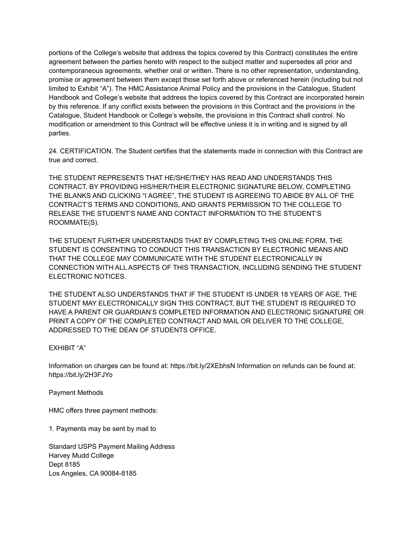portions of the College's website that address the topics covered by this Contract) constitutes the entire agreement between the parties hereto with respect to the subject matter and supersedes all prior and contemporaneous agreements, whether oral or written. There is no other representation, understanding, promise or agreement between them except those set forth above or referenced herein (including but not limited to Exhibit "A"). The HMC Assistance Animal Policy and the provisions in the Catalogue, Student Handbook and College's website that address the topics covered by this Contract are incorporated herein by this reference. If any conflict exists between the provisions in this Contract and the provisions in the Catalogue, Student Handbook or College's website, the provisions in this Contract shall control. No modification or amendment to this Contract will be effective unless it is in writing and is signed by all parties.

24. CERTIFICATION. The Student certifies that the statements made in connection with this Contract are true and correct.

THE STUDENT REPRESENTS THAT HE/SHE/THEY HAS READ AND UNDERSTANDS THIS CONTRACT. BY PROVIDING HIS/HER/THEIR ELECTRONIC SIGNATURE BELOW, COMPLETING THE BLANKS AND CLICKING "I AGREE", THE STUDENT IS AGREEING TO ABIDE BY ALL OF THE CONTRACT'S TERMS AND CONDITIONS, AND GRANTS PERMISSION TO THE COLLEGE TO RELEASE THE STUDENT'S NAME AND CONTACT INFORMATION TO THE STUDENT'S ROOMMATE(S).

THE STUDENT FURTHER UNDERSTANDS THAT BY COMPLETING THIS ONLINE FORM, THE STUDENT IS CONSENTING TO CONDUCT THIS TRANSACTION BY ELECTRONIC MEANS AND THAT THE COLLEGE MAY COMMUNICATE WITH THE STUDENT ELECTRONICALLY IN CONNECTION WITH ALL ASPECTS OF THIS TRANSACTION, INCLUDING SENDING THE STUDENT ELECTRONIC NOTICES.

THE STUDENT ALSO UNDERSTANDS THAT IF THE STUDENT IS UNDER 18 YEARS OF AGE, THE STUDENT MAY ELECTRONICALLY SIGN THIS CONTRACT, BUT THE STUDENT IS REQUIRED TO HAVE A PARENT OR GUARDIAN'S COMPLETED INFORMATION AND ELECTRONIC SIGNATURE OR PRINT A COPY OF THE COMPLETED CONTRACT AND MAIL OR DELIVER TO THE COLLEGE, ADDRESSED TO THE DEAN OF STUDENTS OFFICE.

## EXHIBIT "A"

Information on charges can be found at: https://bit.ly/2XEbhsN Information on refunds can be found at: https://bit.ly/2H3FJYo

Payment Methods

HMC offers three payment methods:

1. Payments may be sent by mail to

Standard USPS Payment Mailing Address Harvey Mudd College Dept 8185 Los Angeles, CA 90084-8185